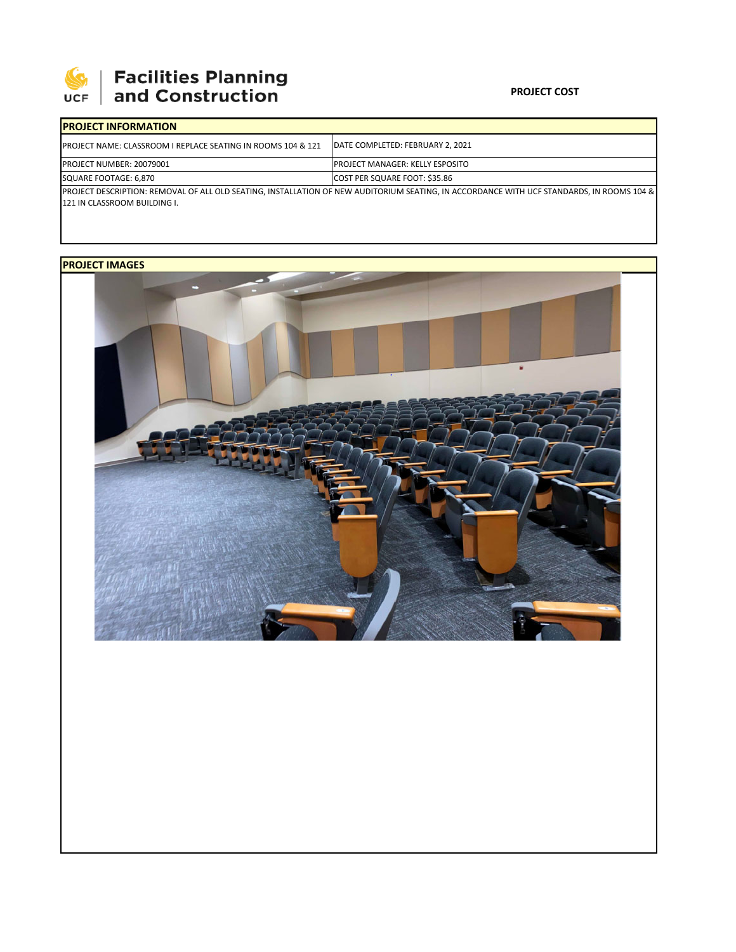

# **Facilities Planning<br>and Construction**

### **PROJECT COST**

| <b>IPROJECT INFORMATION</b>                                              |                                                                                                                                           |
|--------------------------------------------------------------------------|-------------------------------------------------------------------------------------------------------------------------------------------|
| <b>IPROJECT NAME: CLASSROOM I REPLACE SEATING IN ROOMS 104 &amp; 121</b> | IDATE COMPLETED: FEBRUARY 2. 2021                                                                                                         |
| <b>PROJECT NUMBER: 20079001</b>                                          | IPROJECT MANAGER: KELLY ESPOSITO                                                                                                          |
| SQUARE FOOTAGE: 6.870                                                    | <b>COST PER SQUARE FOOT: \$35.86</b>                                                                                                      |
|                                                                          | PROJECT DESCRIPTION: REMOVAL OF ALL OLD SEATING. INSTALLATION OF NEW AUDITORIUM SEATING. IN ACCORDANCE WITH UCF STANDARDS. IN ROOMS 104 & |
| 121 IN CLASSROOM BUILDING I.                                             |                                                                                                                                           |

## **PROJECT IMAGES**